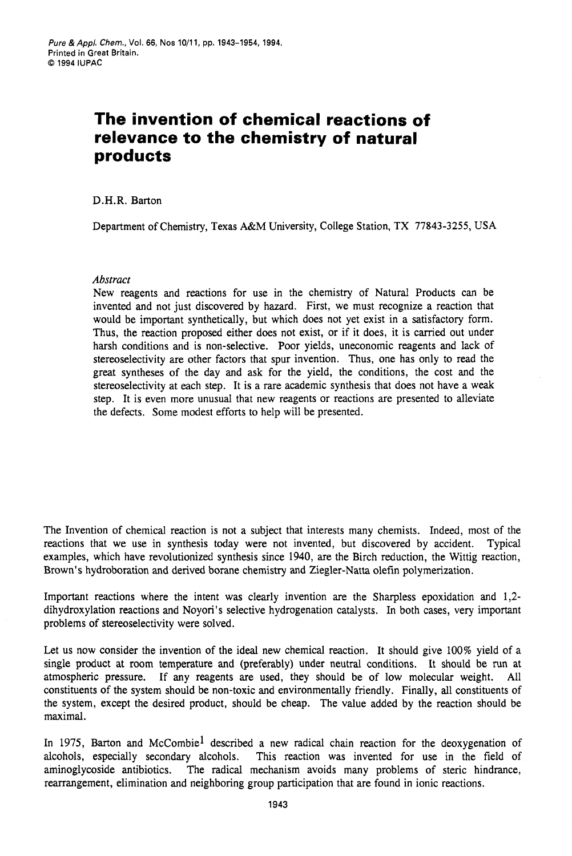# **The invention of chemical reactions of relevance to the chemistry of natural products**

## D.H.R. Barton

Department of Chemistry, Texas A&M University, College Station, TX **77843-3255, USA** 

## *Abstract*

New reagents and reactions for use in the chemistry of Natural Products can be invented and not just discovered by hazard. First, we must recognize a reaction that would be important synthetically, but which does not yet exist in a satisfactory form. Thus, the reaction proposed either does not exist, or if it does, it is carried out under harsh conditions and is non-selective. Poor yields, uneconomic reagents and lack of stereoselectivity are other factors that spur invention. Thus, one has only to read the great syntheses of the day and ask for the yield, the conditions, the cost and the stereoselectivity at each step. It is a rare academic synthesis that does not have a weak step. It is even more unusual that new reagents or reactions are presented to alleviate the defects. Some modest efforts to help will be presented.

The Invention of chemical reaction is not a subject that interests many chemists. Indeed, most of the reactions that we use in synthesis today were not invented, but discovered by accident. Typical examples, which have revolutionized synthesis since 1940, are the Birch reduction, the Wittig reaction, Brown's hydroboration and derived borane chemistry and Ziegler-Natta olefin polymerization.

Important reactions where the intent was clearly invention are the Sharpless epoxidation and 1,2 dihydroxylation reactions and Noyori's selective hydrogenation catalysts. In both cases, very important problems of stereoselectivity were solved.

Let us now consider the invention of the ideal new chemical reaction. It should give 100% yield of a single product at room temperature and (preferably) under neutral conditions. It should be **run** at atmospheric pressure. If any reagents are used, they should be of low molecular weight. All constituents of the system should be non-toxic and environmentally friendly. Finally, all constituents of the system, except the desired product, should be cheap. The value added by the reaction should be maximal.

In 1975, Barton and McCombie<sup>1</sup> described a new radical chain reaction for the deoxygenation of alcohols, especially secondary alcohols. This reaction was invented for use in the field of aminoglycoside antibiotics. The radical mechanism avoids many problems of steric hindrance, rearrangement, elimination and neighboring group participation that are found in ionic reactions.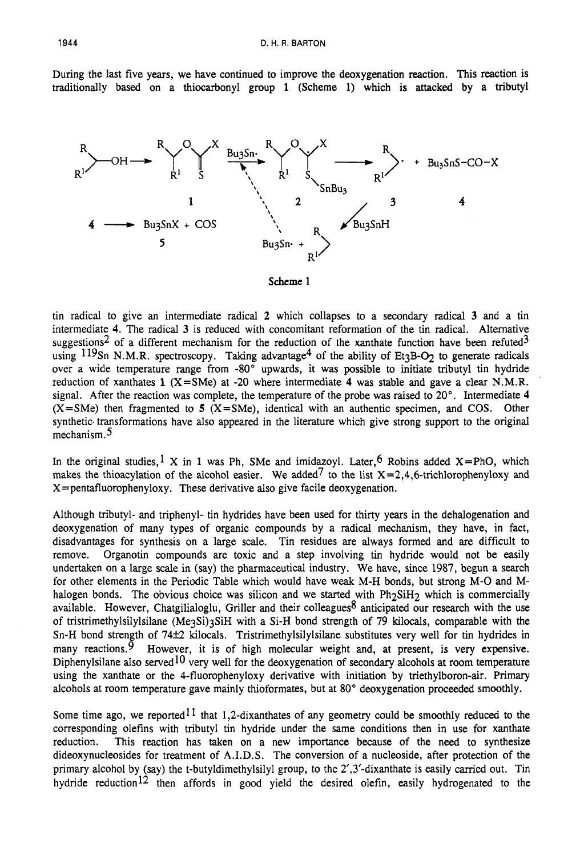During the last five years, we have continued to improve the deoxygenation reaction. This reaction is traditionally based **on** a thiocarbonyl group **1** (Scheme 1) which is attacked by a tributyl



tin radical to give an intermediate radical **2** which collapses to a secondary radical **3** and a tin intermediate **4.** The radical **3** is reduced with concomitant reformation of the tin radical. Alternative suggestions<sup>2</sup> of a different mechanism for the reduction of the xanthate function have been refuted<sup>3</sup> using  $119$ Sn N.M.R. spectroscopy. Taking advantage<sup>4</sup> of the ability of Et<sub>3</sub>B-O<sub>2</sub> to generate radicals over a wide temperature range from -80" upwards, it was possible to initiate tributyl tin hydride reduction of xanthates **1** (X=SMe) at -20 where intermediate **4** was stable and gave a clear N.M.R. signal. After the reaction was complete, the temperature of the probe was raised to 20". Intermediate **4**   $(X = SMe)$  then fragmented to 5  $(X = SMe)$ , identical with an authentic specimen, and COS. Other synthetic transformations have also appeared in the literature which give strong support to the original mechanism.5

In the original studies,  $\frac{1}{1}$  X in 1 was Ph, SMe and imidazoyl. Later, <sup>6</sup> Robins added X=PhO, which makes the thioacylation of the alcohol easier. We added<sup>7</sup> to the list  $X=2,4,6$ -trichlorophenyloxy and  $X =$  pentafluorophenyloxy. These derivative also give facile deoxygenation.

Although tributyl- and triphenyl- tin hydrides have been used for thirty years in the dehalogenation and deoxygenation of many types of organic compounds by a radical mechanism, they have, in fact, disadvantages for synthesis on a large scale. Tin residues are always formed and are difficult to remove. Organotin compounds are toxic and a step involving tin hydride would not be easily undertaken on a large scale in (say) the pharmaceutical industry. We have, since 1987, begun a search for other elements in the Periodic Table which would have weak M-H bonds, but strong M-0 and Mhalogen bonds. The obvious choice was silicon and we started with Ph<sub>2</sub>SiH<sub>2</sub> which is commercially available. However, Chatgilialoglu, Griller and their colleagues<sup>8</sup> anticipated our research with the use of tristrimethylsilylsilane (MegSi)3SiH with a Si-H bond strength of 79 kilocals, comparable with the Sn-H bond strength of 74±2 kilocals. Tristrimethylsilylsilane substitutes very well for tin hydrides in many reactions.9 However, it is of high molecular weight and, **at** present, is very expensive. Diphenylsilane also served<sup>10</sup> very well for the deoxygenation of secondary alcohols at room temperature using the xanthate or the 4-fluorophenyloxy derivative with initiation by triethylboron-air. Primary alcohols at room temperature gave mainly thioformates, but at 80" deoxygenation proceeded smoothly.

Some time ago, we reported<sup>11</sup> that 1,2-dixanthates of any geometry could be smoothly reduced to the corresponding olefins with tributyl tin hydride under the same conditions then in use for xanthate reduction. This reaction has taken on a new importance because of the need to synthesize dideoxynucleosides for treatment of A.I.D.S. The conversion of a nucleoside, after protection of the primary alcohol by (say) the t-butyldimethylsilyl group, to the 2',3'-dixanthate is easily carried out. Tin hydride reduction<sup>12</sup> then affords in good yield the desired olefin, easily hydrogenated to the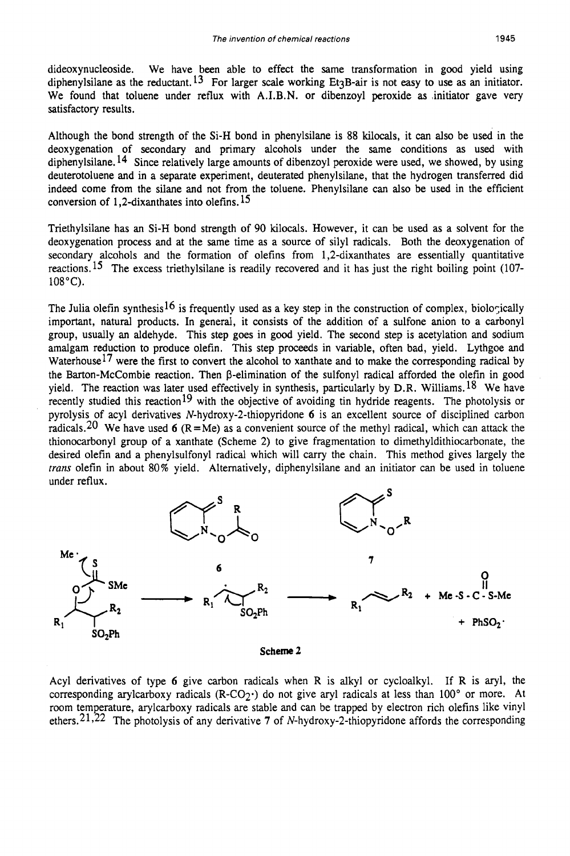dideoxynucleoside. We have been able to effect the same transformation in good yield using diphenylsilane as the reductant.<sup>13</sup> For larger scale working Et<sub>3</sub>B-air is not easy to use as an initiator. We found that toluene under reflux with A.I.B.N. or dibenzoyl peroxide as initiator gave very satisfactory results.

Although the bond strength of the Si-H bond in phenylsilane is 88 kilocals, it can also be used in the deoxygenation of secondary and primary alcohols under the same conditions as used with diphenylsilane. **l4** Since relatively large amounts of dibenzoyl peroxide were used, we showed, by using deuterotoluene and in a separate experiment, deuterated phenylsilane, that the hydrogen transferred did indeed come from the silane and not from the toluene. Phenylsilane can also be used in the efficient conversion of 1,2-dixanthates into olefins.  $15$ 

Triethylsilane has an Si-H bond strength of 90 kilocals. However, it can be used as a solvent for the deoxygenation process and at the same time as a source of silyl radicals. Both the deoxygenation of secondary alcohols and the formation of olefins from 1,2-dixanthates are essentially quantitative reactions.<sup>15</sup> The excess triethylsilane is readily recovered and it has just the right boiling point (107-108°C).

The Julia olefin synthesis<sup>16</sup> is frequently used as a key step in the construction of complex, biologically important, natural products. In general, it consists of the addition of a sulfone anion to a carbonyl group, usually an aldehyde. This step goes in good yield. The second step is acetylation and sodium amalgam reduction to produce olefin. This step proceeds in variable, often bad, yield. Lythgoe and Waterhouse<sup>17</sup> were the first to convert the alcohol to xanthate and to make the corresponding radical by the Barton-McCombie reaction. Then  $\beta$ -elimination of the sulfonyl radical afforded the olefin in good yield. The reaction was later used effectively in synthesis, particularly by D.R. Williams. <sup>18</sup> We have recently studied this reaction<sup>19</sup> with the objective of avoiding tin hydride reagents. The photolysis or pyrolysis of acyl derivatives **N-hydroxy-2-thiopyridone** *6* is an excellent source of disciplined carbon radicals.<sup>20</sup> We have used 6  $(R=Me)$  as a convenient source of the methyl radical, which can attack the thionocarbonyl group of a xanthate (Scheme 2) to give fragmentation to dimethyldithiocarbonate, the desired olefin and a phenylsulfonyl radical which will carry the chain. This method gives largely the *trans* olefin in about 80% yield. Alternatively, diphenylsilane and an initiator can be used in toluene under reflux.



Acyl derivatives of type *6* give carbon radicals when R is alkyl or cycloalkyl. If R is aryl, the corresponding arylcarboxy radicals (R-CO<sub>2</sub><sup>+</sup>) do not give aryl radicals at less than 100 $^{\circ}$  or more. At room temperature, arylcarboxy radicals are stable and can be trapped by electron rich olefins like vinyl ethers.2 The photolysis of any derivative **7** of **N-hydroxy-2-thiopyridone** affords the corresponding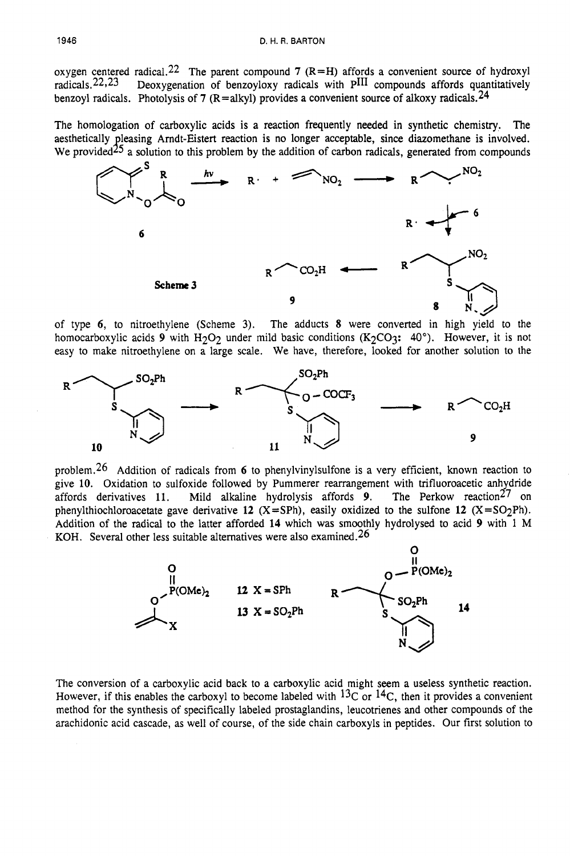oxygen centered radical.<sup>22</sup> The parent compound **7** (R=H) affords a convenient source of hydroxyl radicals.<sup>22,23</sup> Deoxygenation of benzovloxy radicals with PIII compounds affords quantitatively Deoxygenation of benzoyloxy radicals with PIII compounds affords quantitatively benzoyl radicals. Photolysis of **7** (R=alkyl) provides a convenient source of alkoxy radicals.<sup>24</sup>

The homologation of carboxylic acids is a reaction frequently **needed** in synthetic chemistry. The aesthetically leasing Amdt-Eistert reaction is no longer acceptable, since diazomethane is involved. We provided  $25$  a solution to this problem by the addition of carbon radicals, generated from compounds



of type **6,** to nitroethylene (Scheme 3). The adducts **8** were converted in high yield to the homocarboxylic acids 9 with H<sub>2</sub>O<sub>2</sub> under mild basic conditions (K<sub>2</sub>CO<sub>3</sub>: 40°). However, it is not easy to make nitroethylene on a large scale. We have, therefore, looked for another solution to the



problem.26 Addition of radicals from **6** to phenylvinylsulfone is a very efficient, known reaction to give 10. Oxidation to sulfoxide followed by Pummerer rearrangement with trifluoroacetic anhydride affords derivatives 11. Mild alkaline hydrolysis affords 9. The Perkow reaction<sup>27</sup> on affords derivatives 11. Mild alkaline hydrolysis affords 9. phenylthiochloroacetate gave derivative 12  $(X = SPh)$ , easily oxidized to the sulfone 12  $(X = SO<sub>2</sub>Ph)$ . Addition of the radical to the latter afforded **14** which was smoothly hydrolysed to acid **9** with 1 M KOH. Several other less suitable alternatives were also examined.<sup>26</sup>



The conversion of a carboxylic acid back to a carboxylic acid might **seem** a useless synthetic reaction. However, if this enables the carboxyl to become labeled with  ${}^{13}C$  or  ${}^{14}C$ , then it provides a convenient method for the synthesis of specifically labeled prostaglandins, leucotrienes and other compounds of the arachidonic acid cascade, as well of course, of the side chain carboxyls in peptides. Our first solution to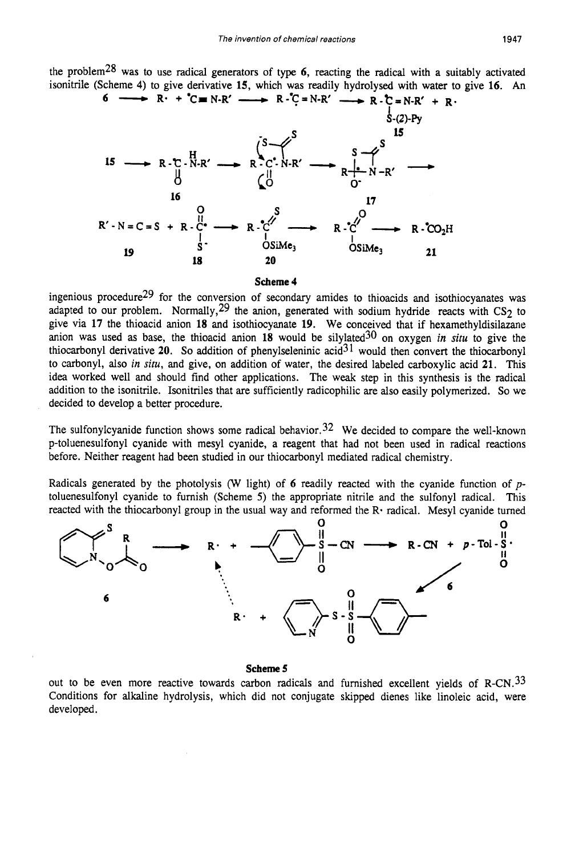the problem28 was to use radical generators of type **6,** reacting the radical with a suitably activated isonitrile (Scheme 4) to give derivative 15, which was readily hydrolysed with water to give 16. An <br>
6  $\longrightarrow R \cdot \uparrow C = N \cdot R' \longrightarrow R \cdot \uparrow C = N \cdot R' \longrightarrow R \cdot \uparrow R \cdot R' + R$ .



#### **Scheme 4**

ingenious procedure29 for the conversion of secondary amides to thioacids and isothiocyanates was adapted to our problem. Normally,  $29$  the anion, generated with sodium hydride reacts with CS<sub>2</sub> to give via **17** the thioacid anion **18** and isothiocyanate **19.** We conceived that if hexamethyldisilazane anion was used as base, the thioacid anion 18 would be silylated<sup>30</sup> on oxygen *in situ* to give the thiocarbonyl derivative **20.** *So* addition of phenylseleninic acid31 would then convert the thiocarbonyl to carbonyl, also *in situ,* and give, on addition of water, the desired labeled carboxylic acid **21.** This idea worked well and should find other applications. The weak step in this synthesis is the radical addition to the isonitrile. Isonitriles that are sufficiently radicophilic are also easily polymerized. *So* we decided to develop a better procedure.

The sulfonylcyanide function shows some radical behavior.<sup>32</sup> We decided to compare the well-known p-toluenesulfonyl cyanide with mesyl cyanide, a reagent that had not been used in radical reactions before. Neither reagent had been studied in our thiocarbonyl mediated radical chemistry.

Radicals generated by the photolysis (W light) of **6** readily reacted with the cyanide function of *p*toluenesulfonyl cyanide to furnish (Scheme *5)* the appropriate nitrile and the sulfonyl radical. This reacted with the thiocarbonyl group in the usual way and reformed the  $\mathbb{R}^2$ -radical. Mesyl cyanide turned



### **Scheme 5**

out to be even more reactive towards carbon radicals and furnished excellent yields of R-CN.<sup>33</sup> Conditions for alkaline hydrolysis, which did not conjugate skipped dienes like linoleic acid, were developed.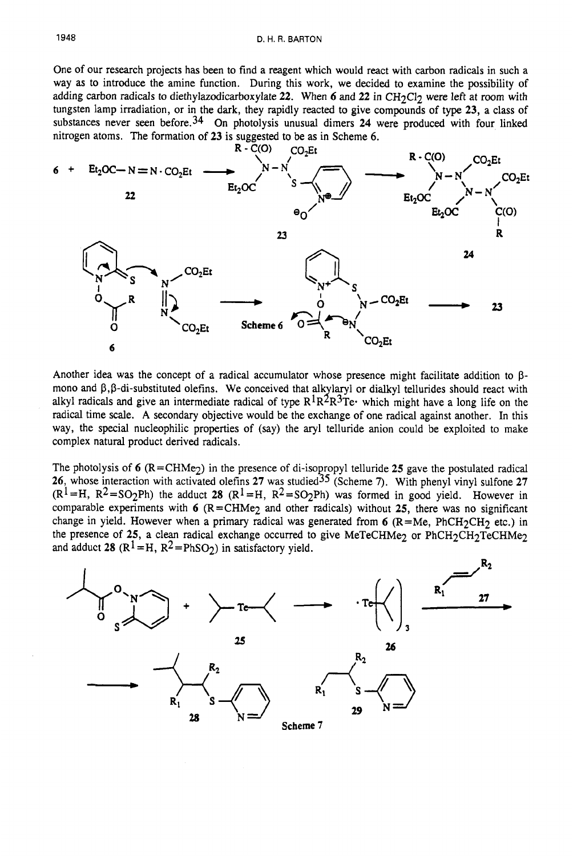One of our research projects has been to find a reagent which would react with carbon radicals in such a way as to introduce the amine function. During this work, we decided to examine the possibility of adding carbon radicals to diethylazodicarboxylate 22. When 6 and 22 in CH<sub>2</sub>Cl<sub>2</sub> were left at room with tungsten lamp irradiation, or in the dark, they rapidly reacted to give compounds of type **23,** a class of substances never seen before.34 On photolysis unusual dimers **24** were produced with four linked nitrogen atoms. The formation of **23** is suggested to be as in Scheme *6.* 



Another idea was the concept of a radical accumulator whose presence might facilitate addition to **p**mono and  $\beta$ , $\beta$ -di-substituted olefins. We conceived that alkylaryl or dialkyl tellurides should react with radical time scale. **A** secondary objective would be the exchange of one radical against another. In this way, the special nucleophilic properties of (say) the aryl telluride anion could be exploited to make complex natural product derived radicals. alkyl radicals and give an intermediate radical of type  $R^1R^2R^3Te$ . which might have a long life on the

The photolysis of  $6$  ( $R = CHMe<sub>2</sub>$ ) in the presence of di-isopropyl telluride 25 gave the postulated radical **26,** whose interaction with activated olefins **27** was studied35 (Scheme **7).** With phenyl vinyl sulfone **27**   $(R^1=H, R^2=SO_2Ph)$  the adduct 28  $(R^1=H, R^2=SO_2Ph)$  was formed in good yield. However in comparable experiments with **6** (R=CHMe2 and other radicals) without **25,** there was no significant change in yield. However when a primary radical was generated from  $6$  (R=Me, PhCH<sub>2</sub>CH<sub>2</sub> etc.) in the presence of 25, a clean radical exchange occurred to give MeTeCHMe<sub>2</sub> or PhCH<sub>2</sub>CH<sub>2</sub>TeCHMe<sub>2</sub> and adduct 28  $(R^1 = H, R^2 = PhSO_2)$  in satisfactory yield.

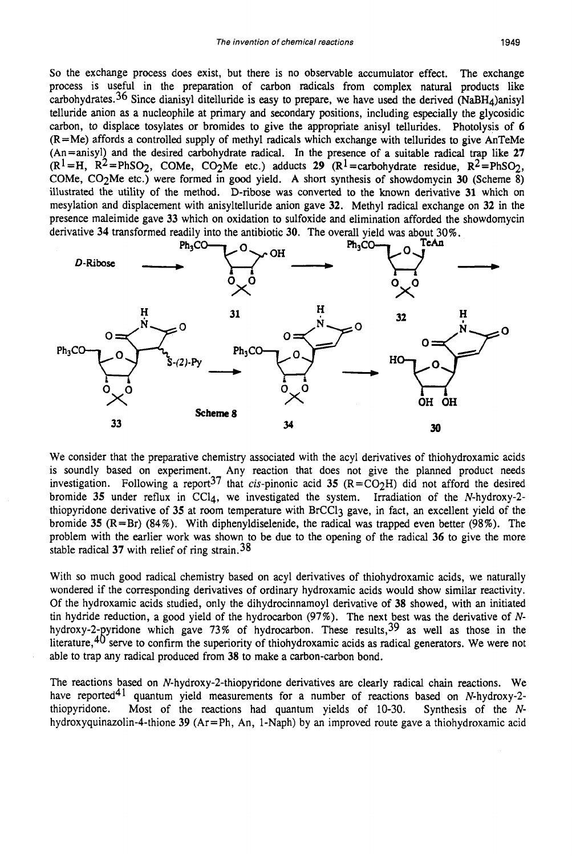*So* the exchange process does exist, but there is no observable accumulator effect. The exchange process is useful in the preparation of carbon radicals from complex natural products like carbohydrates.<sup>36</sup> Since dianisyl ditelluride is easy to prepare, we have used the derived (NaBH<sub>4</sub>)anisyl telluride anion **as** a nucleophile at primary and secondary positions, including especially the glycosidic carbon, to displace tosylates or bromides to give the appropriate anisyl tellurides. Photolysis of **6**  (R=Me) affords a controlled supply of methyl radicals which exchange with tellurides to give AnTeMe (An=anisyl) and the desired carbohydrate radical. In the presence of a suitable radical trap like **27**   $(R^1 = H, R^2 = PhSO_2, COMe, CO_2Me$  etc.) adducts **29**  $(R^1 = \text{carbohydrate residue, R^2 = PhSO_2, E.})$ COMe, C02Me etc.) were formed in good yield. A short synthesis of showdomycin **30** (Scheme 8) illustrated the utility of the method. D-ribose was converted to the known derivative **31** which on mesylation and displacement with anisyltelluride anion gave **32.** Methyl radical exchange on **32** in the presence maleimide gave **33** which on oxidation to sulfoxide and elimination afforded the showdomycin (A<sup>1</sup>=H, R<sup>2</sup>=PhSO<sub>2</sub>, COMe, CO<sub>2</sub>Me etc.) were formed in good yield. A short synthesis of showdomycin 30 (Scheme 8)<br>
(COMe, CO<sub>2</sub>Me etc.) were formed in good yield. A short synthesis of showdomycin 30 (Scheme 8)<br>
iillustr



We consider that the preparative chemistry associated with the acyl derivatives of thiohydroxamic acids is soundly based on experiment. Any reaction that does not give the planned product needs investigation. Following a report<sup>37</sup> that cis-pinonic acid 35  $(R=CO<sub>2</sub>H)$  did not afford the desired bromide **35** under reflux in CCl4, we investigated the system. Irradiation of the N-hydroxy-2 thiopyridone derivative of **35** at room temperature with BrCC13 gave, in fact, an excellent yield of the bromide **35** (R=Br) (84%). With diphenyldiselenide, the radical was trapped even better (98%). The problem with the earlier work was shown to be due to the opening of the radical **36** to give the more stable radical **37** with relief of ring strain.38

With so much good radical chemistry based on acyl derivatives of thiohydroxamic acids, we naturally wondered if the corresponding derivatives of ordinary hydroxamic acids would show similar reactivity. Of the hydroxamic acids studied, only the dihydrocinnamoyl derivative of **38** showed, with an initiated tin hydride reduction, a good yield of the hydrocarbon  $(97%)$ . The next best was the derivative of Nhydroxy-2-pyridone which gave 73% of hydrocarbon. These results,  $39$  as well as those in the literature, $40$  serve to confirm the superiority of thiohydroxamic acids as radical generators. We were not able to trap any radical produced from **38** to make a carbon-carbon bond.

The reactions based on **N-hydroxy-2-thiopyridone** derivatives are clearly radical chain reactions. We have reported<sup>41</sup> quantum yield measurements for a number of reactions based on N-hydroxy-2thiopyridone. Most of the reactions had quantum yields of 10-30. Synthesis of the N**hydroxyquinazolin-4-thione 39** (Ar=Ph, An, l-Naph) by an improved route gave a thiohydroxamic acid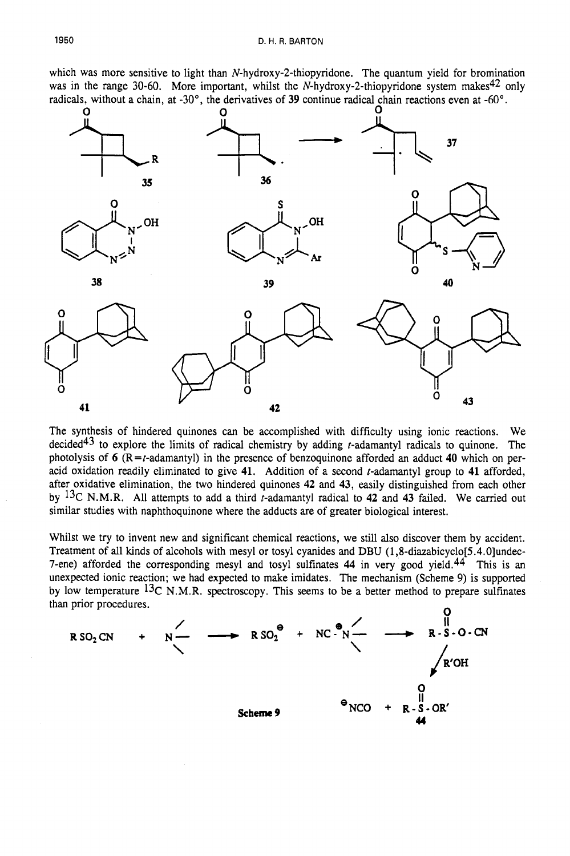which was more sensitive to light than **N-hydroxy-2-thiopyridone.** The quantum yield for bromination was in the range 30-60. More important, whilst the N-hydroxy-2-thiopyridone system makes<sup>42</sup> only



The synthesis of hindered quinones can be accomplished with difficulty using ionic reactions. We decided<sup>43</sup> to explore the limits of radical chemistry by adding *t*-adamantyl radicals to quinone. The photolysis of  $6$  ( $R = t$ -adamantyl) in the presence of benzoquinone afforded an adduct 40 which on peracid oxidation readily eliminated to give **41.** Addition of a second t-adamantyl group to **41** afforded, after oxidative elimination, the two hindered quinones **42** and **43,** easily distinguished from each other by 13C N.M.R. All attempts to add a third t-adamantyl radical to **42** and **43** failed. We carried out similar studies with naphthoquinone where the adducts are of greater biological interest.

Whilst we try to invent new and significant chemical reactions, we still also discover them by accident. Treatment of **all** kinds of alcohols with mesyl or tosyl cyanides and DBU **(1,8-diazabicyclo[5.4.O]undec-**7-ene) afforded the corresponding mesyl and tosyl sulfinates **44** in very good yield.44 This is an unexpected ionic reaction; we had expected to make imidates. The mechanism (Scheme 9) is supported by low temperature  ${}^{13}C$  N.M.R. spectroscopy. This seems to be a better method to prepare sulfinates than prior procedures. *<sup>0</sup>*

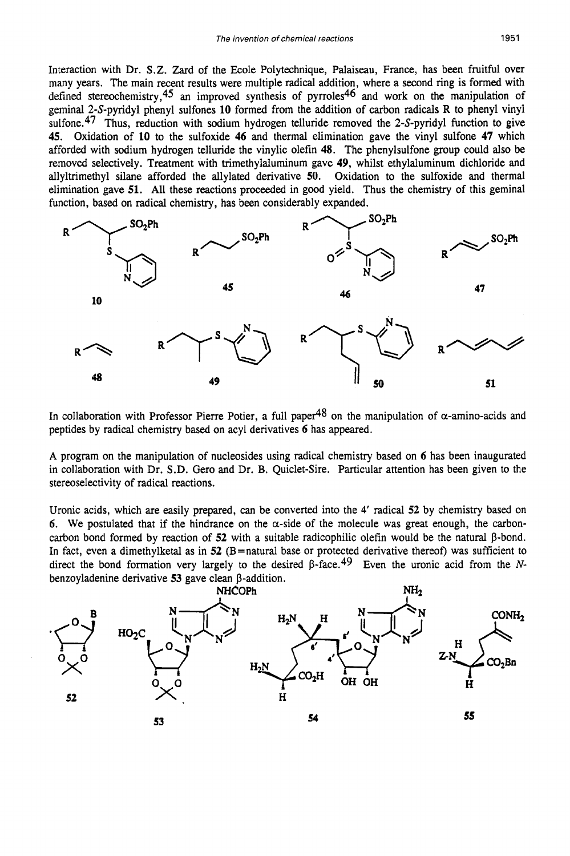Interaction with Dr. S.Z. Zard of the Ecole Polytechnique, Palaiseau, France, has been fruitful over many years. The main recent results were multiple radical addition, where a second ring is formed with defined stereochemistry,45 an improved synthesis of pyrroles46 and work on the manipulation of geminal 2-S-pyridyl phenyl sulfones **10** formed from the addition of carbon radicals R to phenyl vinyl sulfone.<sup>47</sup> Thus, reduction with sodium hydrogen telluride removed the 2-S-pyridyl function to give **45.** Oxidation of **10** to the sulfoxide **46** and thermal elimination gave the vinyl sulfone **47** which afforded with sodium hydrogen telluride the vinylic olefin **48.** The phenylsulfone group could also be removed selectively. Treatment with trimethylaluminum gave **49,** whilst ethylaluminum dichloride and allyltrimethyl silane afforded the allylated derivative **50.** Oxidation to the sulfoxide and thermal elimination gave **51.** All these reactions proceeded in good yield. Thus the chemistry of this geminal function, based on radical chemistry, has been considerably expanded.



In collaboration with Professor Pierre Potier, a full paper<sup>48</sup> on the manipulation of  $\alpha$ -amino-acids and peptides by radical chemistry based on acyl derivatives **6** has appeared.

A program on the manipulation of nucleosides using radical chemistry based on **6** has been inaugurated in collaboration with Dr. S.D. Gero and Dr. B. Quiclet-Sire. Particular attention has been given to the stereoselectivity of radical reactions.

Uronic acids, which are easily prepared, *can* be converted into the 4' radical **52** by chemistry based on 6. We postulated that if the hindrance on the  $\alpha$ -side of the molecule was great enough, the carboncarbon bond formed by reaction of  $52$  with a suitable radicophilic olefin would be the natural  $\beta$ -bond. In fact, even a dimethylketal as in **52** (B=natural base or protected derivative thereof) was sufficient to direct the bond formation very largely to the desired  $\beta$ -face.<sup>49</sup> Even the uronic acid from the *N*benzoyladenine derivative **53** gave clean P-addition.

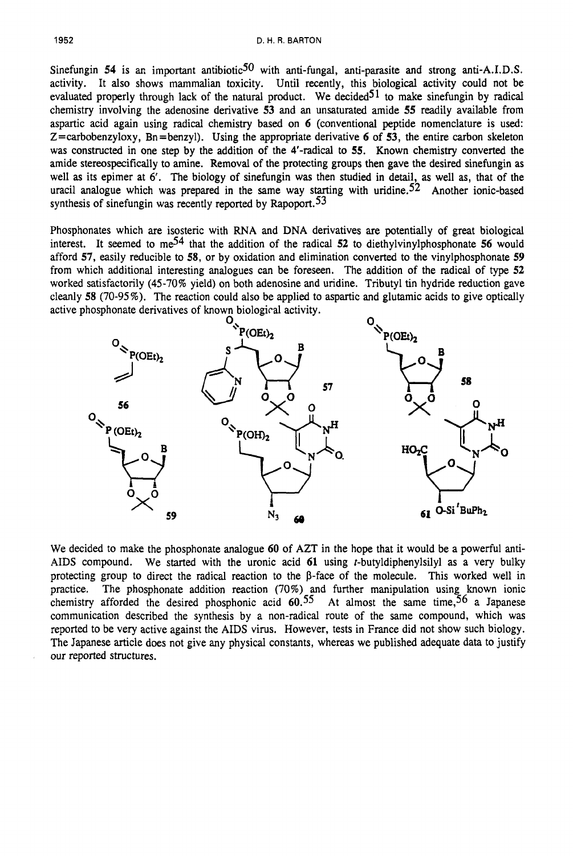Sinefungin 54 is an important antibiotic<sup>50</sup> with anti-fungal, anti-parasite and strong anti-A.I.D.S. activity. It also shows mammalian toxicity. Until recently, this biological activity could not be evaluated properly through lack of the natural product. We decided  $51$  to make sinefungin by radical chemistry involving the adenosine derivative *53* and an unsaturated amide *55* readily available from aspartic acid again using radical chemistry based on 6 (conventional peptide nomenclature is used: Z=carbobenzyloxy, Bn =benzyl). Using the appropriate derivative 6 of *53,* the entire carbon skeleton was constructed in one step by the addition of the 4'-radical to *55.* Known chemistry converted the amide stereospecifically to amine. Removal of the protecting groups then gave the desired sinefungin as well as its epimer at 6'. The biology of sinefungin was then studied in detail, as well as, that of the uracil analogue which was prepared in the same way starting with uridine.<sup>52</sup> Another ionic-based synthesis of sinefungin was recently reported by Rapoport.<sup>53</sup>

Phosphonates which are isosteric with RNA and DNA derivatives are potentially of great biological interest. It seemed to me54 that the addition of the radical *52* to diethylvinylphosphonate *56* would afford *57,* easily reducible to *58,* or by oxidation and elimination converted to the vinylphosphonate *59*  from which additional interesting analogues can be foreseen. The addition of the radical of type *52*  worked satisfactorily (45-70% yield) on both adenosine and uridine. Tributyl tin hydride reduction gave cleanly *58* (70-95%). The reaction could also be applied to aspartic and glutamic acids to give optically



We decided to make the phosphonate analogue 60 of AZT in the hope that it would be a powerful anti-AIDS compound. We started with the uronic acid **61** using t-butyldiphenylsilyl as a very bulky protecting group to direct the radical reaction to the  $\beta$ -face of the molecule. This worked well in practice. The phosphonate addition reaction (70%) and further manipulation using known ionic chemistry afforded the desired phosphonic acid  $60.55$  At almost the same time,<sup>56</sup> a Japanese communication described the synthesis by a non-radical route of the same compound, which was reported to be very active against the AIDS virus. However, tests in France did not show such biology. The Japanese article does not give any physical constants, whereas we published adequate data to justify our reported structures.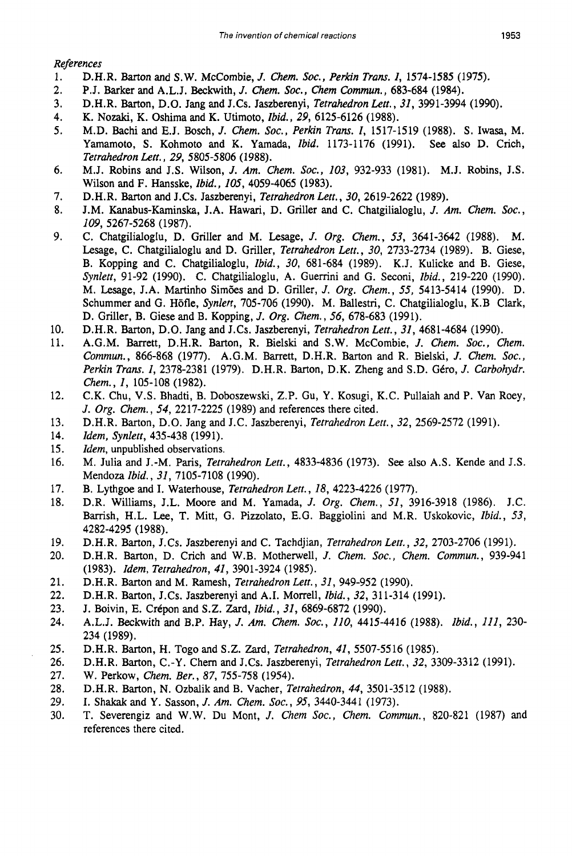*References* 

- 1. D.H.R. Barton and **S.W.** McCombie, J. *Chem.* **SOC.,** *Perkin Tram. I,* 1574-1585 (1975).
- 2. P.J. Barker and A.L.J. Beckwith, *J. Chem.* **Soc.,** *Chem Commun.,* 683-684 (1984).
- 3. D.H.R. Barton, D.O. Jang and J.Cs. Jaszberenyi, *Tetrahedron Lett., 31,* 3991-3994 (1990).
- 4. K. Nozaki, K. Oshima and K. Utimoto, *Ibid., 29,* 6125-6126 (1988).
- 5. M.D. Bachi and E.J. Bosch, J. *Chem.* **SOC.,** *Perkin Trans. I,* 1517-1519 (1988). **S.** Iwasa, M. Yamamoto, **S.** Kohmoto and K. Yamada, *Ibid.* 1173-1176 (1991). *See* also D. Crich, *Tetrahedron Lett., 29,* 5805-5806 (1988).
- 6. M.J. Robins and J.S. Wilson, J. *Am. Chem.* **SOC.,** *103,* 932-933 (1981). M.J. Robins, J.S. Wilson and F. Hansske, *Ibid., 105,* 4059-4065 (1983).
- 7. D.H.R. Barton and J.Cs. Jaszberenyi, *Tetrahedron Lett., 30,* 2619-2622 (1989).
- 8. J.M. Kanabus-Kaminska, J.A. Hawari, D. Griller and C. Chatgilialoglu, J. *Am. Chem.* **SOC.,**  *I09,* 5267-5268 (1987).
- 9. C. Chatgilialoglu, D. Griller and M. Lesage, J. *Org. Chem., 53,* 3641-3642 (1988). *M.*  Lesage, C. Chatgilialoglu and D. Griller, *Tetrahedron Lett., 30,* 2733-2734 (1989). B. Giese, B. Kopping and C. Chatgilialoglu, *Ibid., 30,* 681-684 (1989). K.J. Kulicke and B. Giese, *Synlett,* 91-92 (1990). C. Chatgilialoglu, A. Guemni and G. Seconi, *Ibid.,* 219-220 (1990). M. Lesage, J.A. Martinho Sim6es and D. Griller, J. *Org. Chem., 55,* 5413-5414 (1990). D. Schummer and G. Hofle, *Synlett,* 705-706 (1990). M. Ballestri, C. Chatgilialoglu, K.B Clark, D. Griller, B. Giese and B. Kopping, J. *Org. Chem., 56,* 678-683 (1991).
- 10. D.H.R. Barton, D.O. Jang and J.Cs. Jaszberenyi, *Tetrahedron Lett., 31,* 4681-4684 (1990).
- 11. A.G.M. Barrett, D.H.R. Barton, R. Bielski and S.W. McCombie, J. Chem. Soc., Chem. *Commun.,* 866-868 (1977). A.G.M. Barrett, D.H.R. Barton and R. Bielski, J. *Chem.* **SOC.,**  *Perkin Trans. 1, 2378-2381 (1979). D.H.R. Barton, D.K. Zheng and S.D. Géro, J. Carbohydr. Chem., I,* 105-108 (1982).
- 12. C.K. Chu, V.S. Bhadti, B. Doboszewski, Z.P. Gu, Y. Kosugi, K.C. Pullaiah and P. Van Roey, J. *Org. Chem., 54,* 2217-2225 (1989) and references there cited.
- 13. D.H.R. Barton, D.O. Jang and J.C. Jaszberenyi, *Tetrahedron Lett., 32,* 2569-2572 (1991).
- 14. *Idem, Synlert,* 435-438 (1991).
- 15. *Idem,* unpublished observations.
- 16. M. Julia and J.-M. Paris, *Tetrahedron Lett.,* 4833-4836 (1973). *See* also A.S. Kende and J.S. Mendoza *Ibid., 31,* 7105-7108 (1990).
- 17. B. Lythgoe and I. Waterhouse, *Tetrahedron Lett., 18,* 4223-4226 (1977).
- 18. D.R. Williams, J.L. Moore and M. Yamada, J. *Org. Chem., 51,* 3916-3918 (1986). J.C. Barrish, H.L. Lee, T. Mitt, G. Pizzolato, E.G. Baggiolini and M.R. Uskokovic, *Ibid.,* 53, 4282-4295 (1988).
- 19. D.H.R. Barton, J.Cs. Jaszberenyi and C. Tachdjian, *Tetrahedron Lett., 32,* 2703-2706 (1991).
- 20. D.H.R. Barton, D. Crich and W.B. Motherwell, J. *Chem.* **SOC.,** *Chem. Commun.,* 939-941 (1983). *Idem, Tetrahedron, 41,* 3901-3924 (1985).
- 21. D.H.R. Barton and M. Ramesh, *Tetrahedron Lett., 31,* 949-952 (1990).
- 22. D.H.R. Barton, J.Cs. Jaszberenyi and A.I. Morrell, *Ibid., 32,* 31 1-314 (1991).
- 23. J. Boivin, E. Crépon and S.Z. Zard, *Ibid.*, 31, 6869-6872 (1990).
- 24. A.L.J. Beckwith and B.P. Hay, J. *Am. Chem.* Soc., *110,* 4415-4416 (1988). *Ibid., Ill,* 230- 234 (1989).
- 25. D.H.R. Barton, H. Togo and S.Z. Zard, *Tetrahedron, 41,* 5507-5516 (1985).
- 26. D.H.R. Barton, C.-Y. Chern and J.Cs. Jaszberenyi, *Tetrahedron Lett., 32,* 3309-3312 (1991).
- 27. W. Perkow, *Chem. Ber.,* 87, 755-758 (1954).
- 28. D.H.R. Barton, N. Ozbalik and B. Vacher, *Tetrahedron, 44,* 3501-3512 (1988).
- 29. I. Shakak and Y. Sasson, J. *Am. Chem.* **SOC.,** *95,* 3440-3441 (1973).
- 30. T. Severengiz and W.W. Du Mont, J. *Chem SOC., Chem. Commun.,* 820-821 (1987) and references there cited.